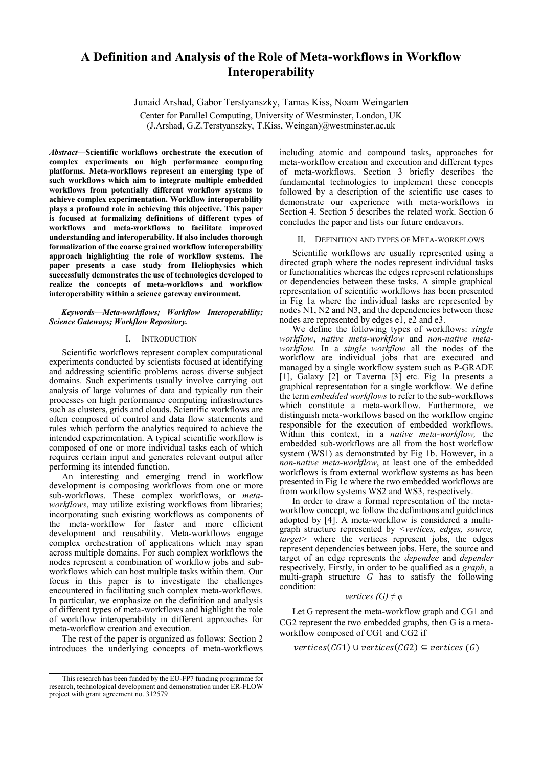# **A Definition and Analysis of the Role of Meta-workflows in Workflow Interoperability**

Junaid Arshad, Gabor Terstyanszky, Tamas Kiss, Noam Weingarten

Center for Parallel Computing, University of Westminster, London, UK (J.Arshad, G.Z.Terstyanszky, T.Kiss, Weingan)@westminster.ac.uk

*Abstract***—Scientific workflows orchestrate the execution of complex experiments on high performance computing platforms. Meta-workflows represent an emerging type of such workflows which aim to integrate multiple embedded workflows from potentially different workflow systems to achieve complex experimentation. Workflow interoperability plays a profound role in achieving this objective. This paper is focused at formalizing definitions of different types of workflows and meta-workflows to facilitate improved understanding and interoperability. It also includes thorough formalization of the coarse grained workflow interoperability approach highlighting the role of workflow systems. The paper presents a case study from Heliophysics which successfully demonstrates the use of technologies developed to realize the concepts of meta-workflows and workflow interoperability within a science gateway environment.** 

*Keywords—Meta-workflows; Workflow Interoperability; Science Gateways; Workflow Repository.*

#### I. INTRODUCTION

Scientific workflows represent complex computational experiments conducted by scientists focused at identifying and addressing scientific problems across diverse subject domains. Such experiments usually involve carrying out analysis of large volumes of data and typically run their processes on high performance computing infrastructures such as clusters, grids and clouds. Scientific workflows are often composed of control and data flow statements and rules which perform the analytics required to achieve the intended experimentation. A typical scientific workflow is composed of one or more individual tasks each of which requires certain input and generates relevant output after performing its intended function.

An interesting and emerging trend in workflow development is composing workflows from one or more sub-workflows. These complex workflows, or *metaworkflows*, may utilize existing workflows from libraries; incorporating such existing workflows as components of the meta-workflow for faster and more efficient development and reusability. Meta-workflows engage complex orchestration of applications which may span across multiple domains. For such complex workflows the nodes represent a combination of workflow jobs and subworkflows which can host multiple tasks within them. Our focus in this paper is to investigate the challenges encountered in facilitating such complex meta-workflows. In particular, we emphasize on the definition and analysis of different types of meta-workflows and highlight the role of workflow interoperability in different approaches for meta-workflow creation and execution.

The rest of the paper is organized as follows: Section 2 introduces the underlying concepts of meta-workflows

including atomic and compound tasks, approaches for meta-workflow creation and execution and different types of meta-workflows. Section 3 briefly describes the fundamental technologies to implement these concepts followed by a description of the scientific use cases to demonstrate our experience with meta-workflows in Section 4. Section 5 describes the related work. Section 6 concludes the paper and lists our future endeavors.

### II. DEFINITION AND TYPES OF META-WORKFLOWS

Scientific workflows are usually represented using a directed graph where the nodes represent individual tasks or functionalities whereas the edges represent relationships or dependencies between these tasks. A simple graphical representation of scientific workflows has been presented in Fig 1a where the individual tasks are represented by nodes N1, N2 and N3, and the dependencies between these nodes are represented by edges e1, e2 and e3.

We define the following types of workflows: *single workflow*, *native meta-workflow* and *non-native metaworkflow.* In a *single workflow* all the nodes of the workflow are individual jobs that are executed and managed by a single workflow system such as P-GRADE [1], Galaxy [2] or Taverna [3] etc. Fig 1a presents a graphical representation for a single workflow. We define the term *embedded workflows* to refer to the sub-workflows which constitute a meta-workflow. Furthermore, we distinguish meta-workflows based on the workflow engine responsible for the execution of embedded workflows. Within this context, in a *native meta-workflow,* the embedded sub-workflows are all from the host workflow system (WS1) as demonstrated by Fig 1b. However, in a *non-native meta-workflow*, at least one of the embedded workflows is from external workflow systems as has been presented in Fig 1c where the two embedded workflows are from workflow systems WS2 and WS3, respectively.

In order to draw a formal representation of the metaworkflow concept, we follow the definitions and guidelines adopted by [4]. A meta-workflow is considered a multigraph structure represented by *<vertices, edges, source, target>* where the vertices represent jobs, the edges represent dependencies between jobs. Here, the source and target of an edge represents the *dependee* and *depender* respectively. Firstly, in order to be qualified as a *graph*, a multi-graph structure *G* has to satisfy the following condition:

## *vertices (G) ≠ φ*

Let G represent the meta-workflow graph and CG1 and CG2 represent the two embedded graphs, then G is a metaworkflow composed of CG1 and CG2 if

 $vertices(CG1) \cup vertices(CG2) \subseteq vertices(G)$ 

This research has been funded by the EU-FP7 funding programme for research, technological development and demonstration under ER-FLOW project with grant agreement no. 312579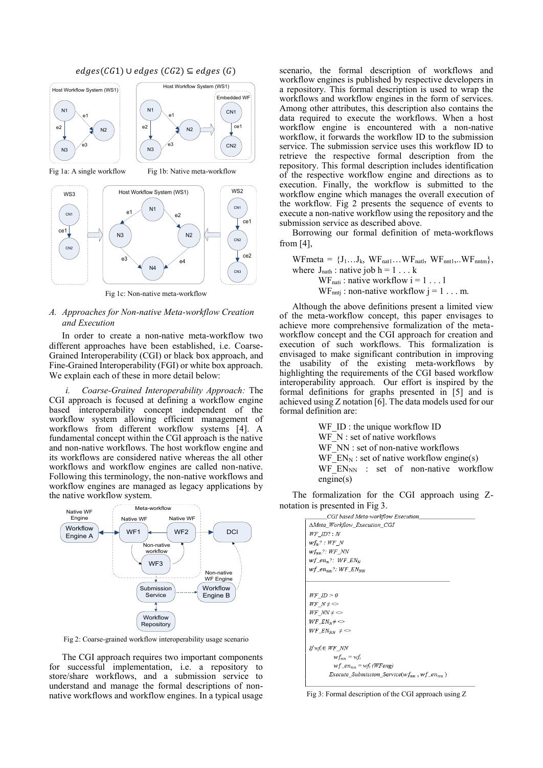



ce2

Fig 1c: Non-native meta-workflow

# *A. Approaches for Non-native Meta-workflow Creation and Execution*

In order to create a non-native meta-workflow two different approaches have been established, i.e. Coarse-Grained Interoperability (CGI) or black box approach, and Fine-Grained Interoperability (FGI) or white box approach. We explain each of these in more detail below:

*i. Coarse-Grained Interoperability Approach:* The CGI approach is focused at defining a workflow engine based interoperability concept independent of the workflow system allowing efficient management of workflows from different workflow systems [4]. A fundamental concept within the CGI approach is the native and non-native workflows. The host workflow engine and its workflows are considered native whereas the all other workflows and workflow engines are called non-native. Following this terminology, the non-native workflows and workflow engines are managed as legacy applications by the native workflow system.



Fig 2: Coarse-grained workflow interoperability usage scenario

The CGI approach requires two important components for successful implementation, i.e. a repository to store/share workflows, and a submission service to understand and manage the formal descriptions of nonnative workflows and workflow engines. In a typical usage

scenario, the formal description of workflows and workflow engines is published by respective developers in a repository. This formal description is used to wrap the workflows and workflow engines in the form of services. Among other attributes, this description also contains the data required to execute the workflows. When a host workflow engine is encountered with a non-native workflow, it forwards the workflow ID to the submission service. The submission service uses this workflow ID to retrieve the respective formal description from the repository. This formal description includes identification of the respective workflow engine and directions as to execution. Finally, the workflow is submitted to the workflow engine which manages the overall execution of the workflow. Fig 2 presents the sequence of events to execute a non-native workflow using the repository and the submission service as described above.

Borrowing our formal definition of meta-workflows from [4],

WFmeta =  ${J_1...J_k, WF_{nat1}...WF_{natl}, WF_{nnt1}...WF_{nntm}},$ where  $J_{nath}$ : native job  $h = 1 ... k$  $WF_{\text{nati}}$ : native workflow  $i = 1 \dots 1$  $WF_{\text{nnti}}$ : non-native workflow  $j = 1 \dots m$ .

Although the above definitions present a limited view of the meta-workflow concept, this paper envisages to achieve more comprehensive formalization of the metaworkflow concept and the CGI approach for creation and execution of such workflows. This formalization is envisaged to make significant contribution in improving the usability of the existing meta-workflows by highlighting the requirements of the CGI based workflow interoperability approach. Our effort is inspired by the formal definitions for graphs presented in [5] and is achieved using Z notation [6]. The data models used for our formal definition are:

> WF ID : the unique workflow ID WF<sub>N</sub>: set of native workflows WF\_NN : set of non-native workflows WF  $EN_N$ : set of native workflow engine(s) WF  $EN_{NN}$  : set of non-native workflow engine(s)

The formalization for the CGI approach using Znotation is presented in Fig 3.

| CGI based Meta-workflow Execution                                                                                                     |
|---------------------------------------------------------------------------------------------------------------------------------------|
| ∆Meta Workflow Execution CGI                                                                                                          |
| $WF$ $ID?: N$                                                                                                                         |
| $wf_n$ ? : WF N                                                                                                                       |
| $wf_{nn}$ ?: $WF$ NN                                                                                                                  |
| $wf$ en?: $WF$ $EN_N$                                                                                                                 |
| $wf_{emn}$ ?: $WF_{EN_{NN}}$                                                                                                          |
| $WF$ ID $>0$<br>WF $N \neq \infty$<br>WF $NN \neq \infty$<br>$WF_E N_N \neq \infty$<br>$WF\_EN_{NN} \neq$                             |
| If $wf_i \in WF$ NN<br>$wf_{nn} = wf_i$<br>$wf_{emn} = wf_i$ (WFeng)<br><i>Execute Submission Service</i> ( $wf_{nn}$ , $wf_{ennn}$ ) |

Fig 3: Formal description of the CGI approach using Z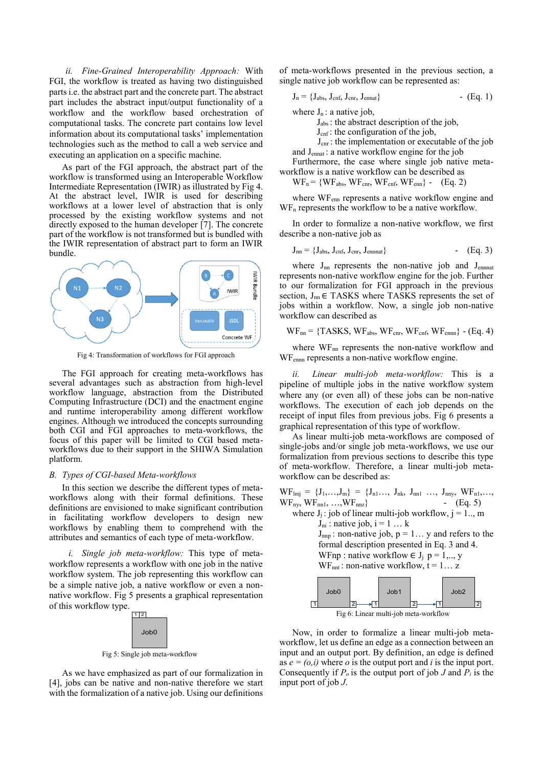*ii. Fine-Grained Interoperability Approach:* With FGI, the workflow is treated as having two distinguished parts i.e. the abstract part and the concrete part. The abstract part includes the abstract input/output functionality of a workflow and the workflow based orchestration of computational tasks. The concrete part contains low level information about its computational tasks' implementation technologies such as the method to call a web service and executing an application on a specific machine.

As part of the FGI approach, the abstract part of the workflow is transformed using an Interoperable Workflow Intermediate Representation (IWIR) as illustrated by Fig 4. At the abstract level, IWIR is used for describing workflows at a lower level of abstraction that is only processed by the existing workflow systems and not directly exposed to the human developer [7]. The concrete part of the workflow is not transformed but is bundled with the IWIR representation of abstract part to form an IWIR bundle.



Fig 4: Transformation of workflows for FGI approach

The FGI approach for creating meta-workflows has several advantages such as abstraction from high-level workflow language, abstraction from the Distributed Computing Infrastructure (DCI) and the enactment engine and runtime interoperability among different workflow engines. Although we introduced the concepts surrounding both CGI and FGI approaches to meta-workflows, the focus of this paper will be limited to CGI based metaworkflows due to their support in the SHIWA Simulation platform.

## *B. Types of CGI-based Meta-workflows*

In this section we describe the different types of metaworkflows along with their formal definitions. These definitions are envisioned to make significant contribution in facilitating workflow developers to design new workflows by enabling them to comprehend with the attributes and semantics of each type of meta-workflow.

*i. Single job meta-workflow:* This type of metaworkflow represents a workflow with one job in the native workflow system. The job representing this workflow can be a simple native job, a native workflow or even a nonnative workflow. Fig 5 presents a graphical representation of this workflow type.



As we have emphasized as part of our formalization in [4], jobs can be native and non-native therefore we start with the formalization of a native job. Using our definitions of meta-workflows presented in the previous section, a single native job workflow can be represented as:

$$
J_n = \{J_{abs}, J_{cnf}, J_{cnr}, J_{ennat}\}\
$$
 (Eq. 1)

where 
$$
J_n
$$
: a native job,

Jabs : the abstract description of the job,

 $J_{\text{cnf}}$ : the configuration of the job,

J<sub>cnr</sub>: the implementation or executable of the job

and Jennat : a native workflow engine for the job Furthermore, the case where single job native metaworkflow is a native workflow can be described as

 $WF_n = \{WF_{abs}, WF_{cnr}, WF_{cnf}, WF_{enn}\}$  -  $(Eq. 2)$ 

where WFenn represents a native workflow engine and  $WF<sub>n</sub>$  represents the workflow to be a native workflow.

In order to formalize a non-native workflow, we first describe a non-native job as

$$
J_{nn} = \{J_{abs}, J_{cnf}, J_{cnr}, J_{ennnat}\}\
$$
 (Eq. 3)

where  $J_{nn}$  represents the non-native job and  $J_{ennnat}$ represents non-native workflow engine for the job. Further to our formalization for FGI approach in the previous section,  $J_{nn} \in$  TASKS where TASKS represents the set of jobs within a workflow. Now, a single job non-native workflow can described as

$$
WF_{nn} = \{TASKS, WF_{abs}, WF_{cnr}, WF_{cnf}, WF_{ennn}\} - (Eq. 4)
$$

where  $WF_{nn}$  represents the non-native workflow and WFennn represents a non-native workflow engine.

*ii. Linear multi-job meta-workflow:* This is a pipeline of multiple jobs in the native workflow system where any (or even all) of these jobs can be non-native workflows. The execution of each job depends on the receipt of input files from previous jobs. Fig 6 presents a graphical representation of this type of workflow.

As linear multi-job meta-workflows are composed of single-jobs and/or single job meta-workflows, we use our formalization from previous sections to describe this type of meta-workflow. Therefore, a linear multi-job metaworkflow can be described as:

$$
WF_{lmj} = \{J_1, \ldots, J_m\} = \{J_{n1}, \ldots, J_{nk}, J_{nn1}, \ldots, J_{nny}, WF_{n1}, \ldots, \nWF_{ny}, WF_{nn1}, \ldots, WF_{nnz}\} \qquad - \text{(Eq. 5)}\nwhere  $J_j : \text{job of linear multi-job workflow}, j = 1 \ldots, m$   
\n $J_{ni} : \text{native job}, i = 1 \ldots k$   
\n $J_{npp} : \text{non-native job}, p = 1 \ldots y \text{ and refers to the formal description presented in Eq. 3 and 4.}\n \text{WFnp : native workflow} \in J_j \text{ p = 1, ..., y}\n \text{WF}_{nnt} : \text{non-native workflow}, t = 1 \ldots z$   
\n $Job0$   
\n $Job1$   
\n $Job2$   
\n $Job2$   
\n $J2$   
\n $J2$   
\n $J2$   
\n $J2$   
\n $J$   
\n $J$   
\n $J$   
\n $J$   
\n $J$   
\n $J$   
\n $J$   
\n $J$   
\n $J$   
\n $J$   
\n $J$   
\n $J$   
\n $J$   
\n $J$   
\n $J$   
\n $J$   
\n $J$   
\n $J$   
\n $J$   
\n $J$   
\n $J$   
\n $J$   
\n $J$   
\n $J$   
\n $J$   
\n $J$   
\n $J$   
\n $J$   
\n $J$   
\n $J$   
\n $J$   
\n $J$   
\n $J$   
\n $J$   
\n $J$   
\n $J$   
\n $J$   
\n $J$   
\n $J$   
\n $J$   
\n $J$   
\n $J$   
\n $J$   
\n $J$   
\n $J$   
\n $J$   
\n $J$
$$

Fig 6: Linear multi-job meta-workflow

Now, in order to formalize a linear multi-job metaworkflow, let us define an edge as a connection between an input and an output port. By definition, an edge is defined as  $e = (o, i)$  where *o* is the output port and *i* is the input port. Consequently if  $P_o$  is the output port of job *J* and  $P_i$  is the input port of job *J*.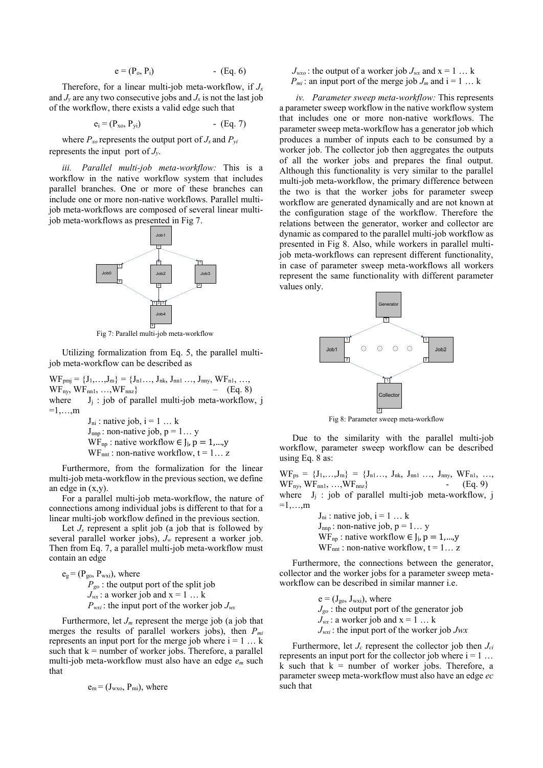$$
e = (P_o, P_i) \qquad \qquad \text{Eq. 6}
$$

Therefore, for a linear multi-job meta-workflow, if *J<sup>x</sup>* and  $J<sub>y</sub>$  are any two consecutive jobs and  $J<sub>x</sub>$  is not the last job of the workflow, there exists a valid edge such that

$$
e_i = (P_{xo}, P_{yi}) \qquad \qquad \text{Eq. 7}
$$

where  $P_{xo}$  represents the output port of  $J_x$  and  $P_{vi}$ represents the input port of *Jy*.

*iii. Parallel multi-job meta-workflow:* This is a workflow in the native workflow system that includes parallel branches. One or more of these branches can include one or more non-native workflows. Parallel multijob meta-workflows are composed of several linear multijob meta-workflows as presented in Fig 7.



Fig 7: Parallel multi-job meta-workflow

Utilizing formalization from Eq. 5, the parallel multijob meta-workflow can be described as

 $\text{WF}_{pmj} = \{J_1, \ldots, J_m\} = \{J_{n1} \ldots, \, J_{nk}, \, J_{nn1} \, \ldots, \, J_{nny}, \, \text{WF}_{n1}, \, \ldots,$ WF<sub>ny</sub>, WF<sub>nn1</sub>, ..., WF<sub>nnz</sub>} – (Eq. 8)<br>where  $J_i$ : job of parallel multi-job meta-workflow  $J_i$  : job of parallel multi-job meta-workflow, j  $=1,\ldots,m$ 

> $J_{ni}$ : native job,  $i = 1 ... k$  $J_{\text{nnp}}$ : non-native job,  $p = 1... y$ WF<sub>np</sub>: native workflow  $\in$  J<sub>j</sub>,  $p = 1,...,y$ WF<sub>nnt</sub>: non-native workflow,  $t = 1... z$

Furthermore, from the formalization for the linear multi-job meta-workflow in the previous section, we define an edge in  $(x,y)$ .

For a parallel multi-job meta-workflow, the nature of connections among individual jobs is different to that for a linear multi-job workflow defined in the previous section.

Let  $J_s$  represent a split job (a job that is followed by several parallel worker jobs), *J<sup>w</sup>* represent a worker job. Then from Eq. 7, a parallel multi-job meta-workflow must contain an edge

 $e_g$  = ( $P_{go}$ ,  $P_{wxi}$ ), where *Pgo* : the output port of the split job  $J_{wx}$ : a worker job and  $x = 1...k$  $P_{\text{wxi}}$ : the input port of the worker job  $J_{\text{wxi}}$ 

Furthermore, let  $J_m$  represent the merge job (a job that merges the results of parallel workers jobs), then *Pmi*  represents an input port for the merge job where  $i = 1 \ldots k$ such that  $k =$  number of worker jobs. Therefore, a parallel multi-job meta-workflow must also have an edge *e<sup>m</sup>* such that

$$
e_m = (J_{wxo}, P_{mi})
$$
, where

 $J_{\text{wxo}}$ : the output of a worker job  $J_{\text{wx}}$  and  $x = 1...k$  $P_{mi}$ : an input port of the merge job  $J_m$  and  $i = 1 \ldots k$ 

*iv. Parameter sweep meta-workflow:* This represents a parameter sweep workflow in the native workflow system that includes one or more non-native workflows. The parameter sweep meta-workflow has a generator job which produces a number of inputs each to be consumed by a worker job. The collector job then aggregates the outputs of all the worker jobs and prepares the final output. Although this functionality is very similar to the parallel multi-job meta-workflow, the primary difference between the two is that the worker jobs for parameter sweep workflow are generated dynamically and are not known at the configuration stage of the workflow. Therefore the relations between the generator, worker and collector are dynamic as compared to the parallel multi-job workflow as presented in Fig 8. Also, while workers in parallel multijob meta-workflows can represent different functionality, in case of parameter sweep meta-workflows all workers represent the same functionality with different parameter values only.



Fig 8: Parameter sweep meta-workflow

Due to the similarity with the parallel multi-job workflow, parameter sweep workflow can be described using Eq. 8 as:

 $WF_{ps} = \{J_1, \ldots, J_m\} = \{J_{n1}, \ldots, J_{nk}, J_{nn1}, \ldots, J_{nny}, WF_{n1}, \ldots,$  $WF_{\text{ny}}, WF_{\text{nn1}}, ..., WF_{\text{nnz}}$  - (Eq. 9) where  $J_i$ : job of parallel multi-job meta-workflow, j  $=1,\ldots,m$ 

 $J_{ni}$ : native job,  $i = 1 ... k$  $J_{\text{nnp}}$ : non-native job,  $p = 1... y$ WF<sub>np</sub>: native workflow  $\in$  J<sub>i</sub>,  $p = 1,...,y$ WF<sub>nnt</sub>: non-native workflow,  $t = 1... z$ 

Furthermore, the connections between the generator, collector and the worker jobs for a parameter sweep metaworkflow can be described in similar manner i.e.

> $e = (J_{\text{go}}, J_{\text{wxi}})$ , where *Jgo* : the output port of the generator job  $J_{wx}$ : a worker job and  $x = 1$  ... k *Jwxi* : the input port of the worker job *Jwx*

Furthermore, let  $J_c$  represent the collector job then  $J_c$ represents an input port for the collector job where  $i = 1 \ldots$ k such that  $k =$  number of worker jobs. Therefore, a parameter sweep meta-workflow must also have an edge *ec*  such that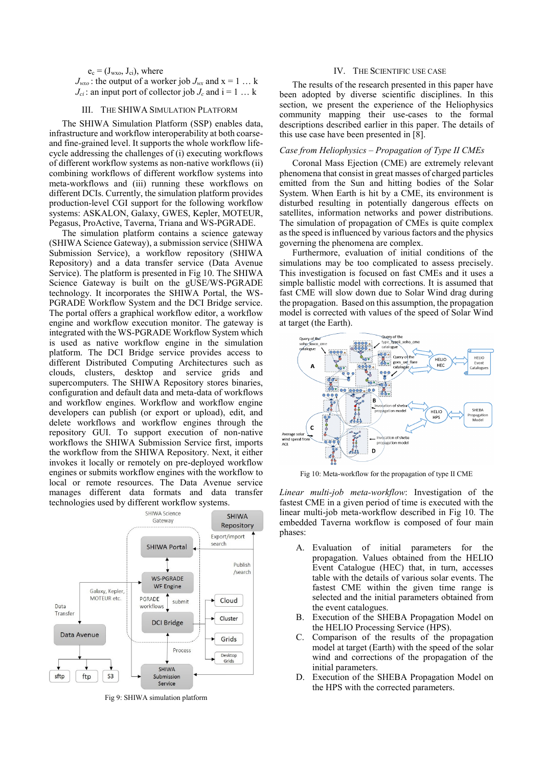$e_c = (J_{wxo}, J_{ci})$ , where  $J_{\text{wxo}}$ : the output of a worker job  $J_{\text{wx}}$  and  $x = 1...k$  $J_{ci}$ : an input port of collector job  $J_c$  and  $i = 1 \ldots k$ 

## III. THE SHIWA SIMULATION PLATFORM

The SHIWA Simulation Platform (SSP) enables data, infrastructure and workflow interoperability at both coarseand fine-grained level. It supports the whole workflow lifecycle addressing the challenges of (i) executing workflows of different workflow systems as non-native workflows (ii) combining workflows of different workflow systems into meta-workflows and (iii) running these workflows on different DCIs. Currently, the simulation platform provides production-level CGI support for the following workflow systems: ASKALON, Galaxy, GWES, Kepler, MOTEUR, Pegasus, ProActive, Taverna, Triana and WS-PGRADE.

The simulation platform contains a science gateway (SHIWA Science Gateway), a submission service (SHIWA Submission Service), a workflow repository (SHIWA Repository) and a data transfer service (Data Avenue Service). The platform is presented in Fig 10. The SHIWA Science Gateway is built on the gUSE/WS-PGRADE technology. It incorporates the SHIWA Portal, the WS-PGRADE Workflow System and the DCI Bridge service. The portal offers a graphical workflow editor, a workflow engine and workflow execution monitor. The gateway is integrated with the WS-PGRADE Workflow System which is used as native workflow engine in the simulation platform. The DCI Bridge service provides access to different Distributed Computing Architectures such as clouds, clusters, desktop and service grids and supercomputers. The SHIWA Repository stores binaries, configuration and default data and meta-data of workflows and workflow engines. Workflow and workflow engine developers can publish (or export or upload), edit, and delete workflows and workflow engines through the repository GUI. To support execution of non-native workflows the SHIWA Submission Service first, imports the workflow from the SHIWA Repository. Next, it either invokes it locally or remotely on pre-deployed workflow engines or submits workflow engines with the workflow to local or remote resources. The Data Avenue service manages different data formats and data transfer technologies used by different workflow systems.



Fig 9: SHIWA simulation platform

## IV. THE SCIENTIFIC USE CASE

The results of the research presented in this paper have been adopted by diverse scientific disciplines. In this section, we present the experience of the Heliophysics community mapping their use-cases to the formal descriptions described earlier in this paper. The details of this use case have been presented in [8].

#### *Case from Heliophysics – Propagation of Type II CMEs*

Coronal Mass Ejection (CME) are extremely relevant phenomena that consist in great masses of charged particles emitted from the Sun and hitting bodies of the Solar System. When Earth is hit by a CME, its environment is disturbed resulting in potentially dangerous effects on satellites, information networks and power distributions. The simulation of propagation of CMEs is quite complex as the speed is influenced by various factors and the physics governing the phenomena are complex.

Furthermore, evaluation of initial conditions of the simulations may be too complicated to assess precisely. This investigation is focused on fast CMEs and it uses a simple ballistic model with corrections. It is assumed that fast CME will slow down due to Solar Wind drag during the propagation. Based on this assumption, the propagation model is corrected with values of the speed of Solar Wind at target (the Earth).



Fig 10: Meta-workflow for the propagation of type II CME

*Linear multi-job meta-workflow*: Investigation of the fastest CME in a given period of time is executed with the linear multi-job meta-workflow described in Fig 10. The embedded Taverna workflow is composed of four main phases:

- A. Evaluation of initial parameters for the propagation. Values obtained from the HELIO Event Catalogue (HEC) that, in turn, accesses table with the details of various solar events. The fastest CME within the given time range is selected and the initial parameters obtained from the event catalogues.
- B. Execution of the SHEBA Propagation Model on the HELIO Processing Service (HPS).
- C. Comparison of the results of the propagation model at target (Earth) with the speed of the solar wind and corrections of the propagation of the initial parameters.
- D. Execution of the SHEBA Propagation Model on the HPS with the corrected parameters.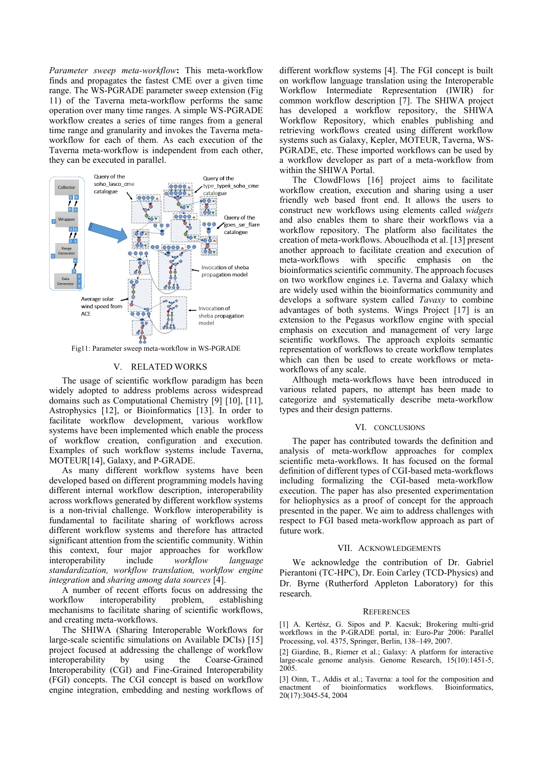*Parameter sweep meta-workflow***:** This meta-workflow finds and propagates the fastest CME over a given time range. The WS-PGRADE parameter sweep extension (Fig 11) of the Taverna meta-workflow performs the same operation over many time ranges. A simple WS-PGRADE workflow creates a series of time ranges from a general time range and granularity and invokes the Taverna metaworkflow for each of them. As each execution of the Taverna meta-workflow is independent from each other, they can be executed in parallel.



Fig11: Parameter sweep meta-workflow in WS-PGRADE

# V. RELATED WORKS

The usage of scientific workflow paradigm has been widely adopted to address problems across widespread domains such as Computational Chemistry [9] [10], [11], Astrophysics [12], or Bioinformatics [13]. In order to facilitate workflow development, various workflow systems have been implemented which enable the process of workflow creation, configuration and execution. Examples of such workflow systems include Taverna, MOTEUR[14], Galaxy, and P-GRADE.

As many different workflow systems have been developed based on different programming models having different internal workflow description, interoperability across workflows generated by different workflow systems is a non-trivial challenge. Workflow interoperability is fundamental to facilitate sharing of workflows across different workflow systems and therefore has attracted significant attention from the scientific community. Within this context, four major approaches for workflow interoperability include *workflow language standardization, workflow translation, workflow engine integration* and *sharing among data sources* [4].

A number of recent efforts focus on addressing the workflow interoperability problem, establishing mechanisms to facilitate sharing of scientific workflows, and creating meta-workflows.

The SHIWA (Sharing Interoperable Workflows for large-scale scientific simulations on Available DCIs) [15] project focused at addressing the challenge of workflow interoperability by using the Coarse-Grained Interoperability (CGI) and Fine-Grained Interoperability (FGI) concepts. The CGI concept is based on workflow engine integration, embedding and nesting workflows of different workflow systems [4]. The FGI concept is built on workflow language translation using the Interoperable Workflow Intermediate Representation (IWIR) for common workflow description [7]. The SHIWA project has developed a workflow repository, the SHIWA Workflow Repository, which enables publishing and retrieving workflows created using different workflow systems such as Galaxy, Kepler, MOTEUR, Taverna, WS-PGRADE, etc. These imported workflows can be used by a workflow developer as part of a meta-workflow from within the SHIWA Portal.

The ClowdFlows [16] project aims to facilitate workflow creation, execution and sharing using a user friendly web based front end. It allows the users to construct new workflows using elements called *widgets* and also enables them to share their workflows via a workflow repository. The platform also facilitates the creation of meta-workflows. Abouelhoda et al. [13] present another approach to facilitate creation and execution of meta-workflows with specific emphasis on the bioinformatics scientific community. The approach focuses on two workflow engines i.e. Taverna and Galaxy which are widely used within the bioinformatics community and develops a software system called *Tavaxy* to combine advantages of both systems. Wings Project [17] is an extension to the Pegasus workflow engine with special emphasis on execution and management of very large scientific workflows. The approach exploits semantic representation of workflows to create workflow templates which can then be used to create workflows or metaworkflows of any scale.

Although meta-workflows have been introduced in various related papers, no attempt has been made to categorize and systematically describe meta-workflow types and their design patterns.

### VI. CONCLUSIONS

The paper has contributed towards the definition and analysis of meta-workflow approaches for complex scientific meta-workflows. It has focused on the formal definition of different types of CGI-based meta-workflows including formalizing the CGI-based meta-workflow execution. The paper has also presented experimentation for heliophysics as a proof of concept for the approach presented in the paper. We aim to address challenges with respect to FGI based meta-workflow approach as part of future work.

#### VII. ACKNOWLEDGEMENTS

We acknowledge the contribution of Dr. Gabriel Pierantoni (TC-HPC), Dr. Eoin Carley (TCD-Physics) and Dr. Byrne (Rutherford Appleton Laboratory) for this research.

#### **REFERENCES**

[1] A. Kertész, G. Sipos and P. Kacsuk; Brokering multi-grid workflows in the P-GRADE portal, in: Euro-Par 2006: Parallel Processing, vol. 4375, Springer, Berlin, 138–149, 2007.

[2] Giardine, B., Riemer et al.; Galaxy: A platform for interactive large-scale genome analysis. Genome Research, 15(10):1451-5, 2005.

[3] Oinn, T., Addis et al.; Taverna: a tool for the composition and enactment of bioinformatics workflows. Bioinformatics, 20(17):3045-54, 2004